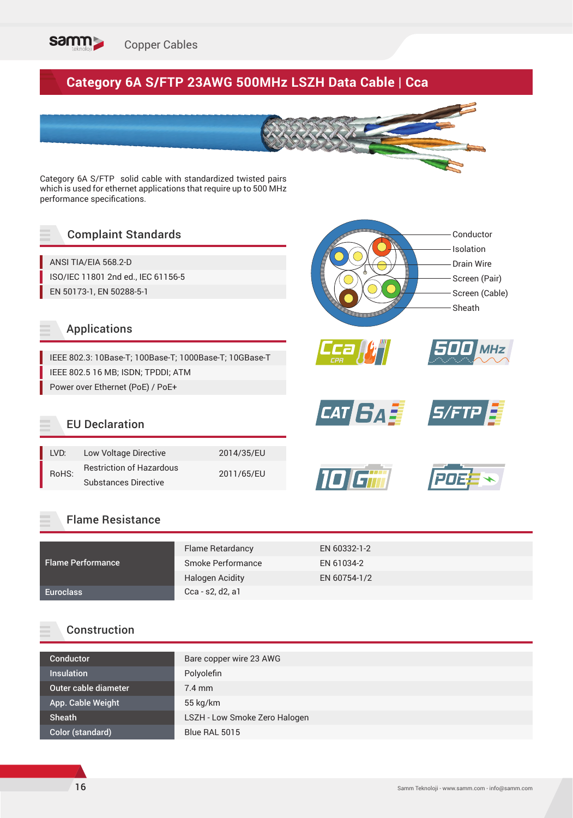

# **Category 6A S/FTP 23AWG 500MHz LSZH Data Cable | Cca**

Category 6A S/FTP solid cable with standardized twisted pairs which is used for ethernet applications that require up to 500 MHz performance specifications.

## Complaint Standards

ANSI TIA/EIA 568.2-D ISO/IEC 11801 2nd ed., IEC 61156-5 EN 50173-1, EN 50288-5-1

### Applications

IEEE 802.3: 10Base-T; 100Base-T; 1000Base-T; 10GBase-T IEEE 802.5 16 MB; ISDN; TPDDI; ATM Power over Ethernet (PoE) / PoE+

### EU Declaration

| LVD:  | Low Voltage Directive           | 2014/35/EU |
|-------|---------------------------------|------------|
| RoHS: | <b>Restriction of Hazardous</b> |            |
|       | <b>Substances Directive</b>     | 2011/65/EU |

#### Flame Resistance

|                          | Flame Retardancy       | EN 60332-1-2 |
|--------------------------|------------------------|--------------|
| <b>Flame Performance</b> | Smoke Performance      | EN 61034-2   |
|                          | <b>Halogen Acidity</b> | EN 60754-1/2 |
| <b>Euroclass</b>         | Cca - s2, d2, a1       |              |

### Construction

| Bare copper wire 23 AWG       |
|-------------------------------|
| Polyolefin                    |
| $7.4$ mm                      |
| $55$ kg/km                    |
| LSZH - Low Smoke Zero Halogen |
| Blue RAL 5015                 |
|                               |

Conductor Isolation Drain Wire Screen (Pair) Screen (Cable)

Sheath

*CAT <i>SAE* S/FTP

*Cca CPR*

ומז

*500 MHz*